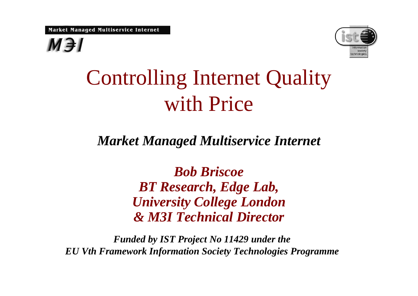

# Controlling Internet Quality with Price

#### *Market Managed Multiservice Internet*

*Bob BriscoeBT Research, Edge Lab, University College London & M3I Technical Director*

*Funded by IST Project No 11429 under the EU Vth Framework Information Society Technologies Programme*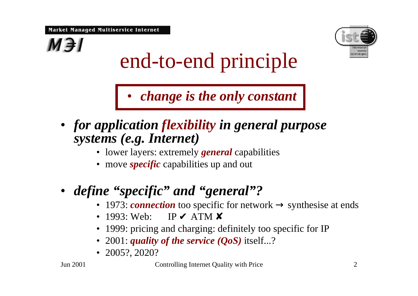



# end-to-end principle

•*change is the only constant*

- *for application flexibility in general purpose systems (e.g. Internet)*
	- lower layers: extremely *general* capabilities
	- move *specific* capabilities up and out
- *define "specific" and "general"?*
	- 1973: *connection* too specific for network → synthesise at ends
	- 1993: Web: IP  $\checkmark$  ATM  $\checkmark$
	- 1999: pricing and charging: definitely too specific for IP
	- 2001: *quality of the service (QoS)* itself...?
	- 2005?, 2020?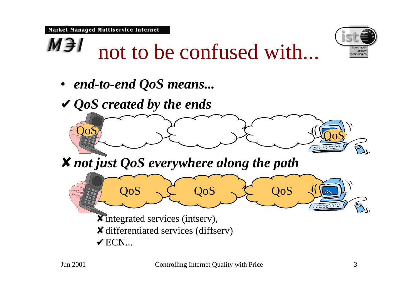

#### **M**<sub>3</sub> not to be confused with...

• *end-to-end QoS means...*

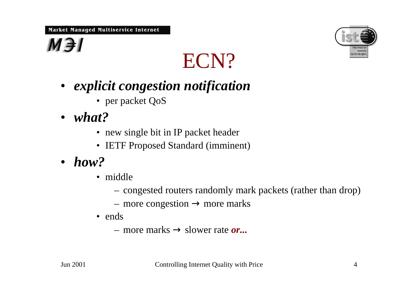### **M**<sub>3</sub>



# ECN?

- *explicit congestion notification*
	- per packet QoS
- *what?*
	- new single bit in IP packet header
	- IETF Proposed Standard (imminent)
- *how?*
	- middle
		- congested routers randomly mark packets (rather than drop)
		- $-$  more congestion  $\rightarrow$  more marks
	- ends
		- more marks → slower rate *or...*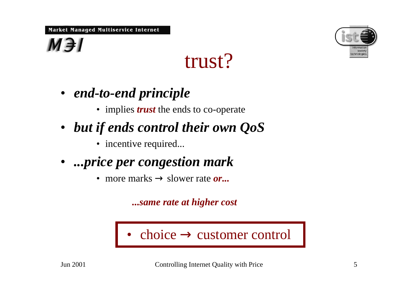

- *end-to-end principle*
	- implies *trust* the ends to co-operate
- *but if ends control their own QoS*
	- incentive required...
- *...price per congestion mark*
	- more marks → slower rate *or...*

*...same rate at higher cost*

#### •• choice  $\rightarrow$  customer control

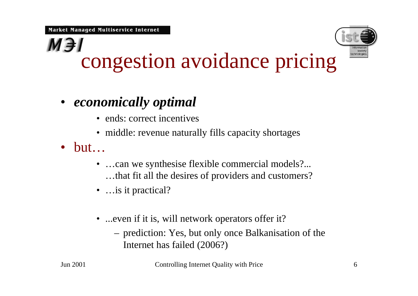### **M**<sub>3</sub> congestion avoidance pricing

- *economically optimal*
	- ends: correct incentives
	- middle: revenue naturally fills capacity shortages
- but...
	- ... can we synthesise flexible commercial models?... …that fit all the desires of providers and customers?
	- ... is it practical?
	- ...even if it is, will network operators offer it?
		- prediction: Yes, but only once Balkanisation of the Internet has failed (2006?)

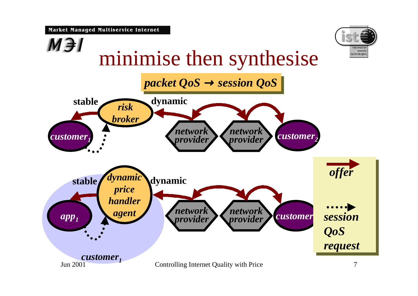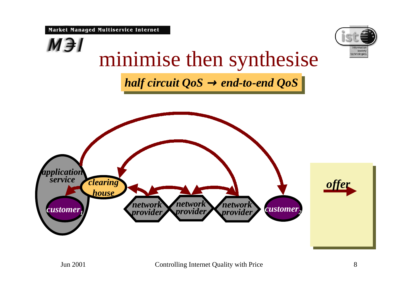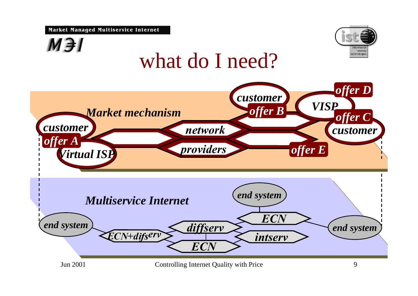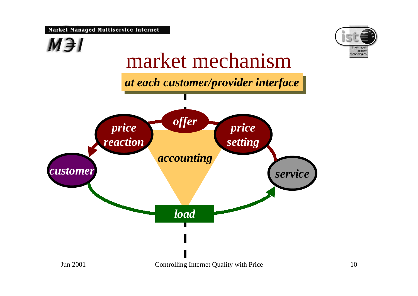

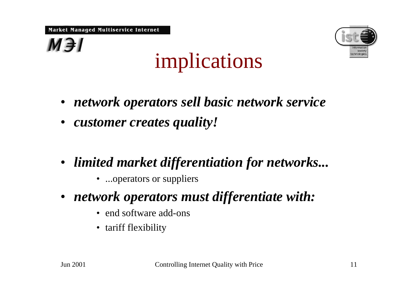

# implications

- *network operators sell basic network service*
- *customer creates quality!*
- *limited market differentiation for networks...*
	- ...operators or suppliers
- *network operators must differentiate with:*
	- end software add-ons
	- tariff flexibility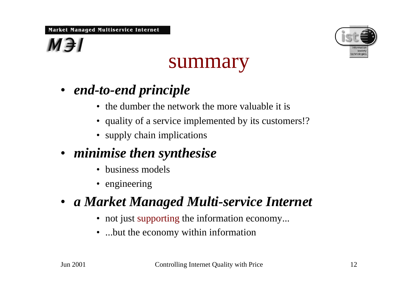

### summary

#### • *end-to-end principle*

- the dumber the network the more valuable it is
- quality of a service implemented by its customers!?
- supply chain implications

#### • *minimise then synthesise*

- business models
- engineering

#### • *a Market Managed Multi-service Internet*

- not just supporting the information economy...
- ...but the economy within information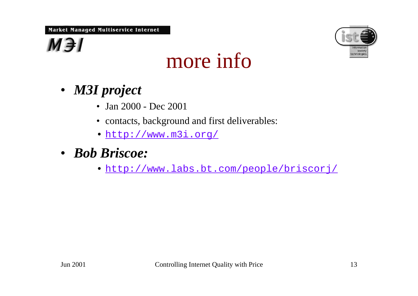

## more info

- *M3I project*
	- Jan 2000 Dec 2001
	- contacts, background and first deliverables:
	- http://www.m3i.org/
- *Bob Briscoe:*
	- http://www.labs.bt.com/people/briscorj/

societ technologie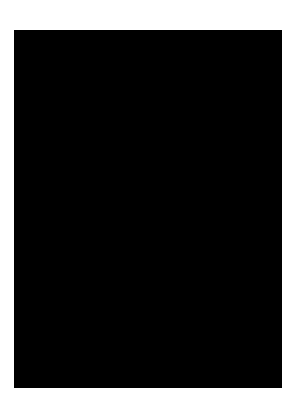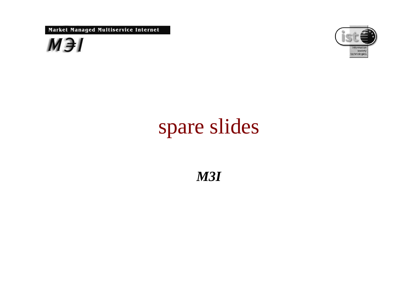Market Managed Multiservice Internet





# spare slides

 $M3I$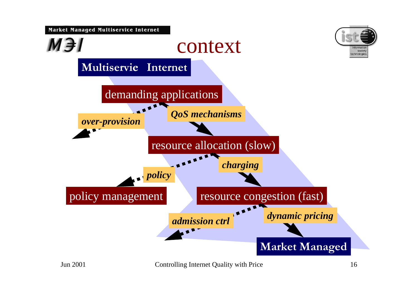